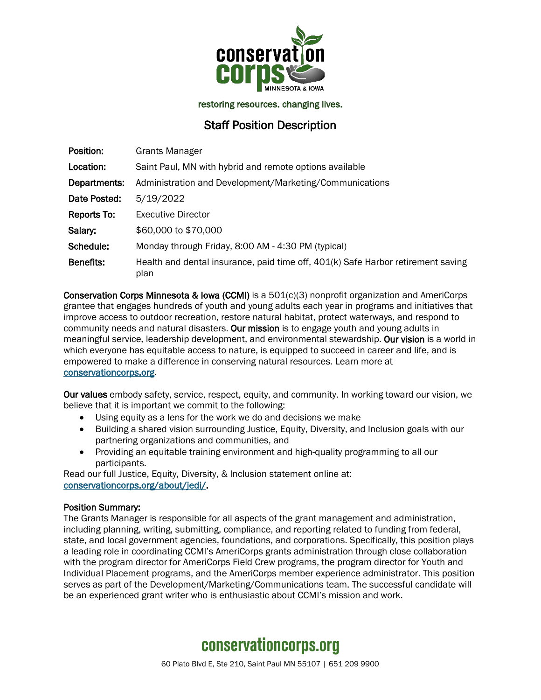

restoring resources. changing lives.

### Staff Position Description

| Position:        | <b>Grants Manager</b>                                                                    |
|------------------|------------------------------------------------------------------------------------------|
| Location:        | Saint Paul, MN with hybrid and remote options available                                  |
| Departments:     | Administration and Development/Marketing/Communications                                  |
| Date Posted:     | 5/19/2022                                                                                |
| Reports To:      | <b>Executive Director</b>                                                                |
| Salary:          | \$60,000 to \$70,000                                                                     |
| Schedule:        | Monday through Friday, 8:00 AM - 4:30 PM (typical)                                       |
| <b>Benefits:</b> | Health and dental insurance, paid time off, 401(k) Safe Harbor retirement saving<br>plan |

Conservation Corps Minnesota & Iowa (CCMI) is a 501(c)(3) nonprofit organization and AmeriCorps grantee that engages hundreds of youth and young adults each year in programs and initiatives that improve access to outdoor recreation, restore natural habitat, protect waterways, and respond to community needs and natural disasters. Our mission is to engage youth and young adults in meaningful service, leadership development, and environmental stewardship. Our vision is a world in which everyone has equitable access to nature, is equipped to succeed in career and life, and is empowered to make a difference in conserving natural resources. Learn more at [conservationcorps.org.](mailto:https://conservationcorps.org/)

Our values embody safety, service, respect, equity, and community. In working toward our vision, we believe that it is important we commit to the following:

- Using equity as a lens for the work we do and decisions we make
- Building a shared vision surrounding Justice, Equity, Diversity, and Inclusion goals with our partnering organizations and communities, and
- Providing an equitable training environment and high-quality programming to all our participants.

Read our full Justice, Equity, Diversity, & Inclusion statement online at: [conservationcorps.org/about/jedi/.](https://conservationcorps.org/about/jedi/)

### Position Summary:

The Grants Manager is responsible for all aspects of the grant management and administration, including planning, writing, submitting, compliance, and reporting related to funding from federal, state, and local government agencies, foundations, and corporations. Specifically, this position plays a leading role in coordinating CCMI's AmeriCorps grants administration through close collaboration with the program director for AmeriCorps Field Crew programs, the program director for Youth and Individual Placement programs, and the AmeriCorps member experience administrator. This position serves as part of the Development/Marketing/Communications team. The successful candidate will be an experienced grant writer who is enthusiastic about CCMI's mission and work.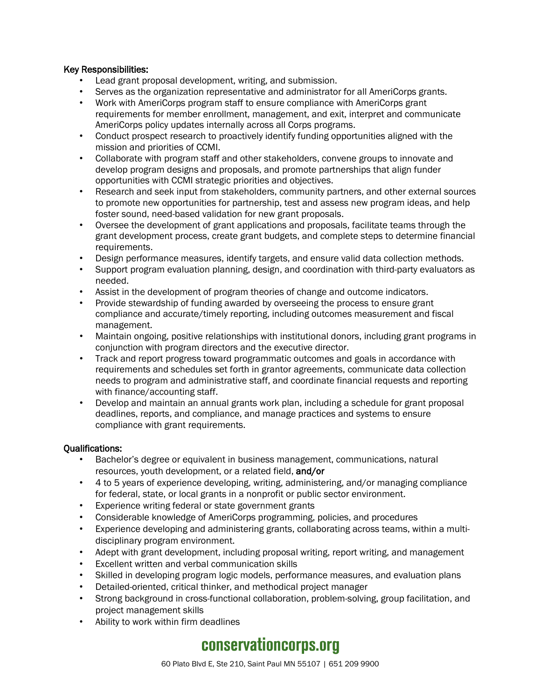### Key Responsibilities:

- Lead grant proposal development, writing, and submission.
- Serves as the organization representative and administrator for all AmeriCorps grants.
- Work with AmeriCorps program staff to ensure compliance with AmeriCorps grant requirements for member enrollment, management, and exit, interpret and communicate AmeriCorps policy updates internally across all Corps programs.
- Conduct prospect research to proactively identify funding opportunities aligned with the mission and priorities of CCMI.
- Collaborate with program staff and other stakeholders, convene groups to innovate and develop program designs and proposals, and promote partnerships that align funder opportunities with CCMI strategic priorities and objectives.
- Research and seek input from stakeholders, community partners, and other external sources to promote new opportunities for partnership, test and assess new program ideas, and help foster sound, need-based validation for new grant proposals.
- Oversee the development of grant applications and proposals, facilitate teams through the grant development process, create grant budgets, and complete steps to determine financial requirements.
- Design performance measures, identify targets, and ensure valid data collection methods.
- Support program evaluation planning, design, and coordination with third-party evaluators as needed.
- Assist in the development of program theories of change and outcome indicators.
- Provide stewardship of funding awarded by overseeing the process to ensure grant compliance and accurate/timely reporting, including outcomes measurement and fiscal management.
- Maintain ongoing, positive relationships with institutional donors, including grant programs in conjunction with program directors and the executive director.
- Track and report progress toward programmatic outcomes and goals in accordance with requirements and schedules set forth in grantor agreements, communicate data collection needs to program and administrative staff, and coordinate financial requests and reporting with finance/accounting staff.
- Develop and maintain an annual grants work plan, including a schedule for grant proposal deadlines, reports, and compliance, and manage practices and systems to ensure compliance with grant requirements.

### Qualifications:

- Bachelor's degree or equivalent in business management, communications, natural resources, youth development, or a related field, and/or
- 4 to 5 years of experience developing, writing, administering, and/or managing compliance for federal, state, or local grants in a nonprofit or public sector environment.
- Experience writing federal or state government grants
- Considerable knowledge of AmeriCorps programming, policies, and procedures
- Experience developing and administering grants, collaborating across teams, within a multidisciplinary program environment.
- Adept with grant development, including proposal writing, report writing, and management
- Excellent written and verbal communication skills
- Skilled in developing program logic models, performance measures, and evaluation plans
- Detailed-oriented, critical thinker, and methodical project manager
- Strong background in cross-functional collaboration, problem-solving, group facilitation, and project management skills
- Ability to work within firm deadlines

# conservationcorps.org